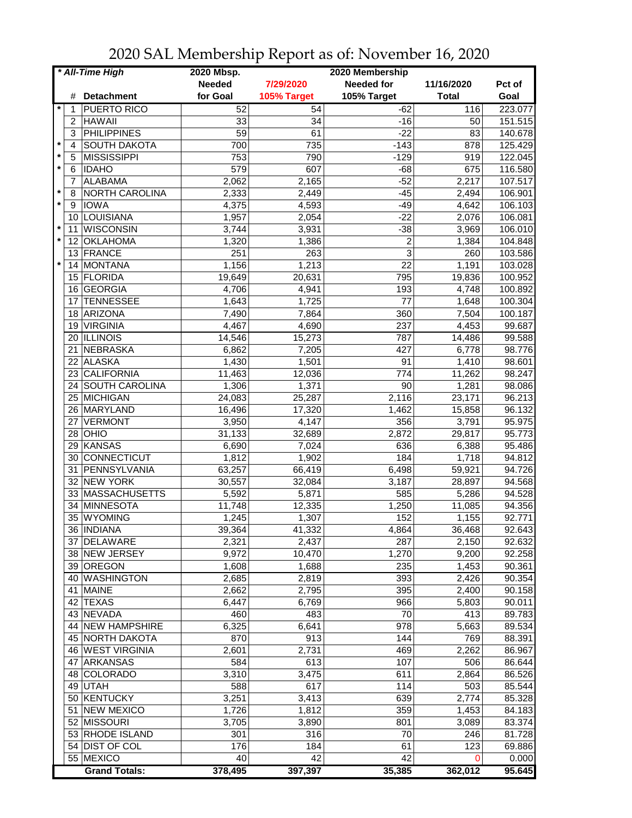| * All-Time High |                        | 2020 Mbsp.      |              | 2020 Membership   |              |         |
|-----------------|------------------------|-----------------|--------------|-------------------|--------------|---------|
|                 |                        | <b>Needed</b>   | 7/29/2020    | <b>Needed for</b> | 11/16/2020   | Pct of  |
|                 | <b>Detachment</b><br># | for Goal        | 105% Target  | 105% Target       | <b>Total</b> | Goal    |
| 1               | <b>PUERTO RICO</b>     | 52              | 54           | $-62$             | 116          | 223.077 |
| 2               | <b>HAWAII</b>          | 33              | 34           | $-16$             | 50           | 151.515 |
| 3               | <b>PHILIPPINES</b>     | $\overline{59}$ | 61           | $-22$             | 83           | 140.678 |
| $\star$<br>4    | SOUTH DAKOTA           | 700             | 735          | $-143$            | 878          | 125.429 |
| $\star$<br>5    | <b>MISSISSIPPI</b>     | 753             | 790          | $-129$            | 919          | 122.045 |
| $\star$<br>6    | <b>IDAHO</b>           | 579             | 607          | $-68$             | 675          | 116.580 |
| $\overline{7}$  | <b>ALABAMA</b>         | 2,062           | 2,165        | $-52$             | 2,217        | 107.517 |
| $\star$<br>8    | NORTH CAROLINA         | 2,333           | 2,449        | $-45$             | 2,494        | 106.901 |
| $\star$<br>9    | <b>IOWA</b>            | 4,375           | 4,593        | $-49$             | 4,642        | 106.103 |
| 10              | LOUISIANA              | 1,957           | 2,054        | $-22$             | 2,076        | 106.081 |
| $\star$<br>11   | <b>WISCONSIN</b>       | 3,744           | 3,931        | $-38$             | 3,969        | 106.010 |
| $\star$<br>12   | <b>OKLAHOMA</b>        | 1,320           | 1,386        | $\overline{c}$    | 1,384        | 104.848 |
|                 | 13 FRANCE              | 251             | 263          | 3                 | 260          | 103.586 |
| $\star$<br>14   | MONTANA                | 1,156           | 1,213        | 22                | 1,191        | 103.028 |
|                 | 15 FLORIDA             | 19,649          | 20,631       | 795               | 19,836       | 100.952 |
| 16              | GEORGIA                | 4,706           | 4,941        | 193               | 4,748        | 100.892 |
| 17              | <b>TENNESSEE</b>       | 1,643           | 1,725        | 77                | 1,648        | 100.304 |
| 18              | ARIZONA                | 7,490           | 7,864        | 360               | 7,504        | 100.187 |
|                 | <b>VIRGINIA</b>        |                 |              | 237               |              |         |
| 19              |                        | 4,467           | 4,690        |                   | 4,453        | 99.687  |
|                 | 20 ILLINOIS            | 14,546          | 15,273       | 787               | 14,486       | 99.588  |
| 21              | NEBRASKA               | 6,862           | 7,205        | 427               | 6,778        | 98.776  |
|                 | 22 ALASKA              | 1,430           | 1,501        | 91                | 1,410        | 98.601  |
|                 | 23 CALIFORNIA          | 11,463          | 12,036       | 774               | 11,262       | 98.247  |
|                 | 24 SOUTH CAROLINA      | 1,306           | 1,371        | $\overline{90}$   | 1,281        | 98.086  |
|                 | 25 MICHIGAN            | 24,083          | 25,287       | 2,116             | 23,171       | 96.213  |
|                 | 26 MARYLAND            | 16,496          | 17,320       | 1,462             | 15,858       | 96.132  |
| 27              | <b>VERMONT</b>         | 3,950           | 4,147        | 356               | 3,791        | 95.975  |
|                 | $28$ OHIO              | 31,133          | 32,689       | 2,872             | 29,817       | 95.773  |
| 29              | KANSAS                 | 6,690           | 7,024        | 636               | 6,388        | 95.486  |
| 30              | CONNECTICUT            | 1,812           | 1,902        | 184               | 1,718        | 94.812  |
| 31              | PENNSYLVANIA           | 63,257          | 66,419       | 6,498             | 59,921       | 94.726  |
|                 | 32 NEW YORK            | 30,557          | 32,084       | 3,187             | 28,897       | 94.568  |
|                 | 33 MASSACHUSETTS       | 5,592           | 5,871        | 585               | 5,286        | 94.528  |
| 34              | MINNESOTA              | 11,748          | 12,335       | 1,250             | 11,085       | 94.356  |
| 35              | WYOMING                | 1,245           | 1,307        | 152               | 1,155        | 92.771  |
|                 | 36 INDIANA             | 39,364          | 41,332       | 4,864             | 36,468       | 92.643  |
|                 | 37 DELAWARE            | 2,321           | 2,437        | 287               | 2,150        | 92.632  |
|                 | 38 NEW JERSEY          | 9,972           | 10,470       | 1,270             | 9,200        | 92.258  |
|                 | 39 OREGON              | 1,608           | 1,688        | 235               | 1,453        | 90.361  |
|                 | 40 WASHINGTON          | 2,685           | 2,819        | 393               | 2,426        | 90.354  |
|                 | 41 MAINE               | 2,662           | 2,795        | 395               | 2,400        | 90.158  |
|                 | 42 TEXAS               | 6,447           | 6,769        | 966               | 5,803        | 90.011  |
|                 | 43 NEVADA              |                 | 483          | 70                |              |         |
|                 | 44 NEW HAMPSHIRE       | 460             |              |                   | 413          | 89.783  |
|                 |                        | 6,325           | 6,641<br>913 | 978               | 5,663        | 89.534  |
|                 | 45 NORTH DAKOTA        | 870             |              | 144               | 769          | 88.391  |
|                 | 46 WEST VIRGINIA       | 2,601           | 2,731        | 469               | 2,262        | 86.967  |
| 47              | <b>ARKANSAS</b>        | 584             | 613          | 107               | 506          | 86.644  |
|                 | 48 COLORADO            | 3,310           | 3,475        | 611               | 2,864        | 86.526  |
| 49              | UTAH                   | 588             | 617          | 114               | 503          | 85.544  |
|                 | 50 KENTUCKY            | 3,251           | 3,413        | 639               | 2,774        | 85.328  |
| 51              | <b>NEW MEXICO</b>      | 1,726           | 1,812        | 359               | 1,453        | 84.183  |
|                 | 52 MISSOURI            | 3,705           | 3,890        | 801               | 3,089        | 83.374  |
|                 | 53 RHODE ISLAND        | 301             | 316          | 70                | 246          | 81.728  |
|                 | 54 DIST OF COL         | 176             | 184          | 61                | 123          | 69.886  |
|                 | 55 MEXICO              | 40              | 42           | 42                | 0            | 0.000   |
|                 | <b>Grand Totals:</b>   | 378,495         | 397,397      | 35,385            | 362,012      | 95.645  |

2020 SAL Membership Report as of: November 16, 2020